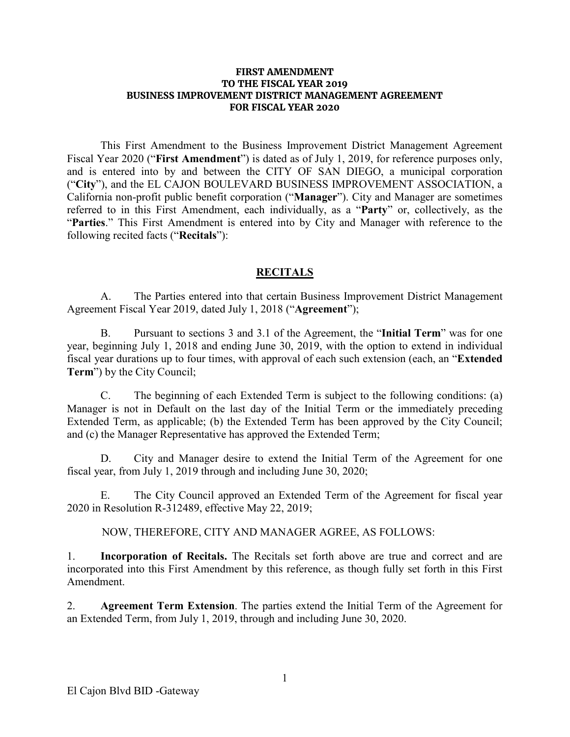#### **FIRST AMENDMENT TO THE FISCAL YEAR 2019 BUSINESS IMPROVEMENT DISTRICT MANAGEMENT AGREEMENT FOR FISCAL YEAR 2020**

This First Amendment to the Business Improvement District Management Agreement Fiscal Year 2020 ("**First Amendment**") is dated as of July 1, 2019, for reference purposes only, and is entered into by and between the CITY OF SAN DIEGO, a municipal corporation ("**City**"), and the EL CAJON BOULEVARD BUSINESS IMPROVEMENT ASSOCIATION, a California non-profit public benefit corporation ("**Manager**"). City and Manager are sometimes referred to in this First Amendment, each individually, as a "**Party**" or, collectively, as the "**Parties**." This First Amendment is entered into by City and Manager with reference to the following recited facts ("**Recitals**"):

### **RECITALS**

A. The Parties entered into that certain Business Improvement District Management Agreement Fiscal Year 2019, dated July 1, 2018 ("**Agreement**");

B. Pursuant to sections 3 and 3.1 of the Agreement, the "**Initial Term**" was for one year, beginning July 1, 2018 and ending June 30, 2019, with the option to extend in individual fiscal year durations up to four times, with approval of each such extension (each, an "**Extended Term**") by the City Council;

C. The beginning of each Extended Term is subject to the following conditions: (a) Manager is not in Default on the last day of the Initial Term or the immediately preceding Extended Term, as applicable; (b) the Extended Term has been approved by the City Council; and (c) the Manager Representative has approved the Extended Term;

D. City and Manager desire to extend the Initial Term of the Agreement for one fiscal year, from July 1, 2019 through and including June 30, 2020;

E. The City Council approved an Extended Term of the Agreement for fiscal year 2020 in Resolution R-312489, effective May 22, 2019;

NOW, THEREFORE, CITY AND MANAGER AGREE, AS FOLLOWS:

1. **Incorporation of Recitals.** The Recitals set forth above are true and correct and are incorporated into this First Amendment by this reference, as though fully set forth in this First Amendment.

2. **Agreement Term Extension**. The parties extend the Initial Term of the Agreement for an Extended Term, from July 1, 2019, through and including June 30, 2020.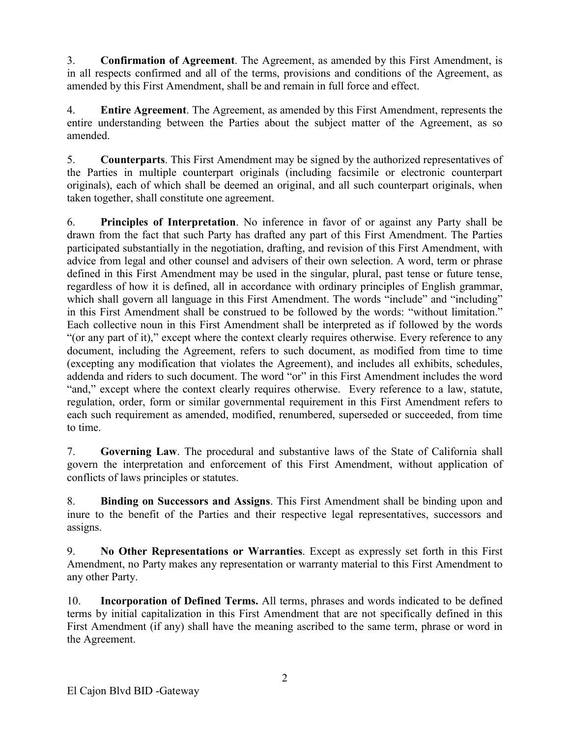3. **Confirmation of Agreement**. The Agreement, as amended by this First Amendment, is in all respects confirmed and all of the terms, provisions and conditions of the Agreement, as amended by this First Amendment, shall be and remain in full force and effect.

4. **Entire Agreement**. The Agreement, as amended by this First Amendment, represents the entire understanding between the Parties about the subject matter of the Agreement, as so amended.

5. **Counterparts**. This First Amendment may be signed by the authorized representatives of the Parties in multiple counterpart originals (including facsimile or electronic counterpart originals), each of which shall be deemed an original, and all such counterpart originals, when taken together, shall constitute one agreement.

6. **Principles of Interpretation**. No inference in favor of or against any Party shall be drawn from the fact that such Party has drafted any part of this First Amendment. The Parties participated substantially in the negotiation, drafting, and revision of this First Amendment, with advice from legal and other counsel and advisers of their own selection. A word, term or phrase defined in this First Amendment may be used in the singular, plural, past tense or future tense, regardless of how it is defined, all in accordance with ordinary principles of English grammar, which shall govern all language in this First Amendment. The words "include" and "including" in this First Amendment shall be construed to be followed by the words: "without limitation." Each collective noun in this First Amendment shall be interpreted as if followed by the words "(or any part of it)," except where the context clearly requires otherwise. Every reference to any document, including the Agreement, refers to such document, as modified from time to time (excepting any modification that violates the Agreement), and includes all exhibits, schedules, addenda and riders to such document. The word "or" in this First Amendment includes the word "and," except where the context clearly requires otherwise. Every reference to a law, statute, regulation, order, form or similar governmental requirement in this First Amendment refers to each such requirement as amended, modified, renumbered, superseded or succeeded, from time to time.

7. **Governing Law**. The procedural and substantive laws of the State of California shall govern the interpretation and enforcement of this First Amendment, without application of conflicts of laws principles or statutes.

8. **Binding on Successors and Assigns**. This First Amendment shall be binding upon and inure to the benefit of the Parties and their respective legal representatives, successors and assigns.

9. **No Other Representations or Warranties**. Except as expressly set forth in this First Amendment, no Party makes any representation or warranty material to this First Amendment to any other Party.

10. **Incorporation of Defined Terms.** All terms, phrases and words indicated to be defined terms by initial capitalization in this First Amendment that are not specifically defined in this First Amendment (if any) shall have the meaning ascribed to the same term, phrase or word in the Agreement.